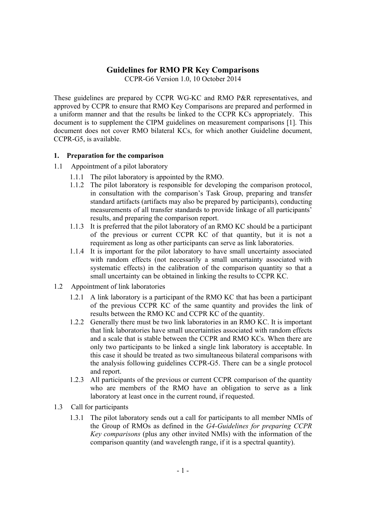# **Guidelines for RMO PR Key Comparisons**

CCPR-G6 Version 1.0, 10 October 2014

These guidelines are prepared by CCPR WG-KC and RMO P&R representatives, and approved by CCPR to ensure that RMO Key Comparisons are prepared and performed in a uniform manner and that the results be linked to the CCPR KCs appropriately. This document is to supplement the CIPM guidelines on measurement comparisons [1]. This document does not cover RMO bilateral KCs, for which another Guideline document, CCPR-G5, is available.

### **1. Preparation for the comparison**

- 1.1 Appointment of a pilot laboratory
	- 1.1.1 The pilot laboratory is appointed by the RMO.
	- 1.1.2 The pilot laboratory is responsible for developing the comparison protocol, in consultation with the comparison's Task Group, preparing and transfer standard artifacts (artifacts may also be prepared by participants), conducting measurements of all transfer standards to provide linkage of all participants' results, and preparing the comparison report.
	- 1.1.3 It is preferred that the pilot laboratory of an RMO KC should be a participant of the previous or current CCPR KC of that quantity, but it is not a requirement as long as other participants can serve as link laboratories.
	- 1.1.4 It is important for the pilot laboratory to have small uncertainty associated with random effects (not necessarily a small uncertainty associated with systematic effects) in the calibration of the comparison quantity so that a small uncertainty can be obtained in linking the results to CCPR KC.
- 1.2 Appointment of link laboratories
	- 1.2.1 A link laboratory is a participant of the RMO KC that has been a participant of the previous CCPR KC of the same quantity and provides the link of results between the RMO KC and CCPR KC of the quantity.
	- 1.2.2 Generally there must be two link laboratories in an RMO KC. It is important that link laboratories have small uncertainties associated with random effects and a scale that is stable between the CCPR and RMO KCs. When there are only two participants to be linked a single link laboratory is acceptable. In this case it should be treated as two simultaneous bilateral comparisons with the analysis following guidelines CCPR-G5. There can be a single protocol and report.
	- 1.2.3 All participants of the previous or current CCPR comparison of the quantity who are members of the RMO have an obligation to serve as a link laboratory at least once in the current round, if requested.
- 1.3 Call for participants
	- 1.3.1 The pilot laboratory sends out a call for participants to all member NMIs of the Group of RMOs as defined in the *G4-Guidelines for preparing CCPR Key comparisons* (plus any other invited NMIs) with the information of the comparison quantity (and wavelength range, if it is a spectral quantity).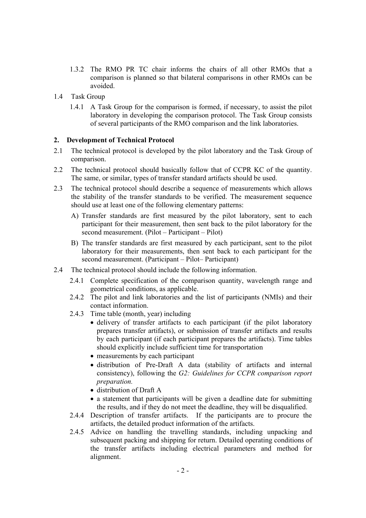- 1.3.2 The RMO PR TC chair informs the chairs of all other RMOs that a comparison is planned so that bilateral comparisons in other RMOs can be avoided.
- 1.4 Task Group
	- 1.4.1 A Task Group for the comparison is formed, if necessary, to assist the pilot laboratory in developing the comparison protocol. The Task Group consists of several participants of the RMO comparison and the link laboratories.

### **2. Development of Technical Protocol**

- 2.1 The technical protocol is developed by the pilot laboratory and the Task Group of comparison.
- 2.2 The technical protocol should basically follow that of CCPR KC of the quantity. The same, or similar, types of transfer standard artifacts should be used.
- 2.3 The technical protocol should describe a sequence of measurements which allows the stability of the transfer standards to be verified. The measurement sequence should use at least one of the following elementary patterns:
	- A) Transfer standards are first measured by the pilot laboratory, sent to each participant for their measurement, then sent back to the pilot laboratory for the second measurement. (Pilot – Participant – Pilot)
	- B) The transfer standards are first measured by each participant, sent to the pilot laboratory for their measurements, then sent back to each participant for the second measurement. (Participant – Pilot– Participant)
- 2.4 The technical protocol should include the following information.
	- 2.4.1 Complete specification of the comparison quantity, wavelength range and geometrical conditions, as applicable.
	- 2.4.2 The pilot and link laboratories and the list of participants (NMIs) and their contact information.
	- 2.4.3 Time table (month, year) including
		- delivery of transfer artifacts to each participant (if the pilot laboratory prepares transfer artifacts), or submission of transfer artifacts and results by each participant (if each participant prepares the artifacts). Time tables should explicitly include sufficient time for transportation
		- measurements by each participant
		- distribution of Pre-Draft A data (stability of artifacts and internal consistency), following the *G2: Guidelines for CCPR comparison report preparation.*
		- distribution of Draft A
		- a statement that participants will be given a deadline date for submitting the results, and if they do not meet the deadline, they will be disqualified.
	- 2.4.4 Description of transfer artifacts. If the participants are to procure the artifacts, the detailed product information of the artifacts.
	- 2.4.5 Advice on handling the travelling standards, including unpacking and subsequent packing and shipping for return. Detailed operating conditions of the transfer artifacts including electrical parameters and method for alignment.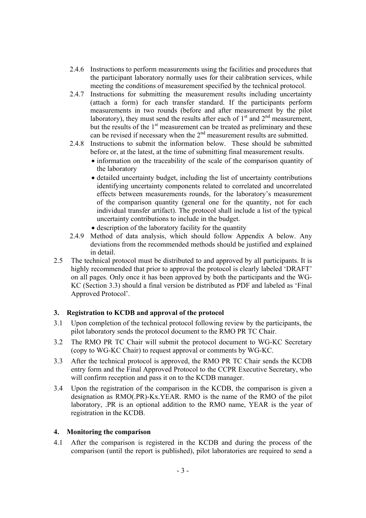- 2.4.6 Instructions to perform measurements using the facilities and procedures that the participant laboratory normally uses for their calibration services, while meeting the conditions of measurement specified by the technical protocol.
- 2.4.7 Instructions for submitting the measurement results including uncertainty (attach a form) for each transfer standard. If the participants perform measurements in two rounds (before and after measurement by the pilot laboratory), they must send the results after each of  $1<sup>st</sup>$  and  $2<sup>nd</sup>$  measurement, but the results of the  $1<sup>st</sup>$  measurement can be treated as preliminary and these can be revised if necessary when the  $2<sup>nd</sup>$  measurement results are submitted.
- 2.4.8 Instructions to submit the information below. These should be submitted before or, at the latest, at the time of submitting final measurement results.
	- information on the traceability of the scale of the comparison quantity of the laboratory
	- detailed uncertainty budget, including the list of uncertainty contributions identifying uncertainty components related to correlated and uncorrelated effects between measurements rounds, for the laboratory's measurement of the comparison quantity (general one for the quantity, not for each individual transfer artifact). The protocol shall include a list of the typical uncertainty contributions to include in the budget.
	- description of the laboratory facility for the quantity
- 2.4.9 Method of data analysis, which should follow Appendix A below. Any deviations from the recommended methods should be justified and explained in detail.
- 2.5 The technical protocol must be distributed to and approved by all participants. It is highly recommended that prior to approval the protocol is clearly labeled 'DRAFT' on all pages. Only once it has been approved by both the participants and the WG-KC (Section 3.3) should a final version be distributed as PDF and labeled as 'Final Approved Protocol'.

### **3. Registration to KCDB and approval of the protocol**

- 3.1 Upon completion of the technical protocol following review by the participants, the pilot laboratory sends the protocol document to the RMO PR TC Chair.
- 3.2 The RMO PR TC Chair will submit the protocol document to WG-KC Secretary (copy to WG-KC Chair) to request approval or comments by WG-KC.
- 3.3 After the technical protocol is approved, the RMO PR TC Chair sends the KCDB entry form and the Final Approved Protocol to the CCPR Executive Secretary, who will confirm reception and pass it on to the KCDB manager.
- 3.4 Upon the registration of the comparison in the KCDB, the comparison is given a designation as RMO(.PR)-Kx.YEAR. RMO is the name of the RMO of the pilot laboratory, .PR is an optional addition to the RMO name, YEAR is the year of registration in the KCDB.

### **4. Monitoring the comparison**

4.1 After the comparison is registered in the KCDB and during the process of the comparison (until the report is published), pilot laboratories are required to send a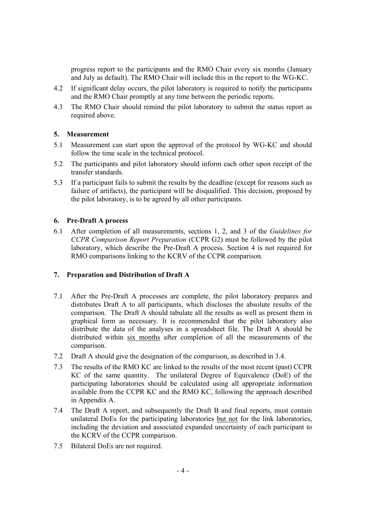progress report to the participants and the RMO Chair every six months (January and July as default). The RMO Chair will include this in the report to the WG-KC.

- 4.2 If significant delay occurs, the pilot laboratory is required to notify the participants and the RMO Chair promptly at any time between the periodic reports.
- 4.3 The RMO Chair should remind the pilot laboratory to submit the status report as required above.

#### **5. Measurement**

- 5.1 Measurement can start upon the approval of the protocol by WG-KC and should follow the time scale in the technical protocol.
- 5.2 The participants and pilot laboratory should inform each other upon receipt of the transfer standards.
- 5.3 If a participant fails to submit the results by the deadline (except for reasons such as failure of artifacts), the participant will be disqualified. This decision, proposed by the pilot laboratory, is to be agreed by all other participants.

#### **6. Pre-Draft A process**

6.1 After completion of all measurements, sections 1, 2, and 3 of the *Guidelines for CCPR Comparison Report Preparation* (CCPR G2) must be followed by the pilot laboratory, which describe the Pre-Draft A process. Section 4 is not required for RMO comparisons linking to the KCRV of the CCPR comparison.

#### **7. Preparation and Distribution of Draft A**

- 7.1 After the Pre-Draft A processes are complete, the pilot laboratory prepares and distributes Draft A to all participants, which discloses the absolute results of the comparison. The Draft A should tabulate all the results as well as present them in graphical form as necessary. It is recommended that the pilot laboratory also distribute the data of the analyses in a spreadsheet file. The Draft A should be distributed within six months after completion of all the measurements of the comparison.
- 7.2 Draft A should give the designation of the comparison, as described in 3.4.
- 7.3 The results of the RMO KC are linked to the results of the most recent (past) CCPR KC of the same quantity. The unilateral Degree of Equivalence (DoE) of the participating laboratories should be calculated using all appropriate information available from the CCPR KC and the RMO KC, following the approach described in Appendix A.
- 7.4 The Draft A report, and subsequently the Draft B and final reports, must contain unilateral DoEs for the participating laboratories but not for the link laboratories, including the deviation and associated expanded uncertainty of each participant to the KCRV of the CCPR comparison.
- 7.5 Bilateral DoEs are not required.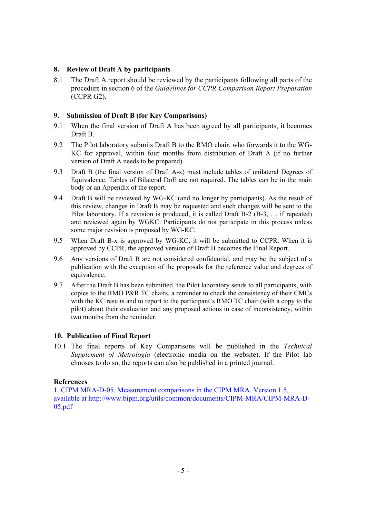### **8. Review of Draft A by participants**

8.1 The Draft A report should be reviewed by the participants following all parts of the procedure in section 6 of the *Guidelines for CCPR Comparison Report Preparation* (CCPR G2).

### **9. Submission of Draft B (for Key Comparisons)**

- 9.1 When the final version of Draft A has been agreed by all participants, it becomes Draft B.
- 9.2 The Pilot laboratory submits Draft B to the RMO chair, who forwards it to the WG-KC for approval, within four months from distribution of Draft A (if no further version of Draft A needs to be prepared).
- 9.3 Draft B (the final version of Draft A-x) must include tables of unilateral Degrees of Equivalence. Tables of Bilateral DoE are not required. The tables can be in the main body or an Appendix of the report.
- 9.4 Draft B will be reviewed by WG-KC (and no longer by participants). As the result of this review, changes in Draft B may be requested and such changes will be sent to the Pilot laboratory. If a revision is produced, it is called Draft B-2 (B-3, ... if repeated) and reviewed again by WGKC. Participants do not participate in this process unless some major revision is proposed by WG-KC.
- 9.5 When Draft B-x is approved by WG-KC, it will be submitted to CCPR. When it is approved by CCPR, the approved version of Draft B becomes the Final Report.
- 9.6 Any versions of Draft B are not considered confidential, and may be the subject of a publication with the exception of the proposals for the reference value and degrees of equivalence.
- 9.7 After the Draft B has been submitted, the Pilot laboratory sends to all participants, with copies to the RMO P&R TC chairs, a reminder to check the consistency of their CMCs with the KC results and to report to the participant's RMO TC chair (with a copy to the pilot) about their evaluation and any proposed actions in case of inconsistency, within two months from the reminder.

### **10. Publication of Final Report**

10.1 The final reports of Key Comparisons will be published in the *Technical Supplement of Metrologia* (electronic media on the website). If the Pilot lab chooses to do so, the reports can also be published in a printed journal.

### **References**

1. CIPM MRA-D-05, Measurement comparisons in the CIPM MRA, Version 1.5, available at http://www.bipm.org/utils/common/documents/CIPM-MRA/CIPM-MRA-D-05.pdf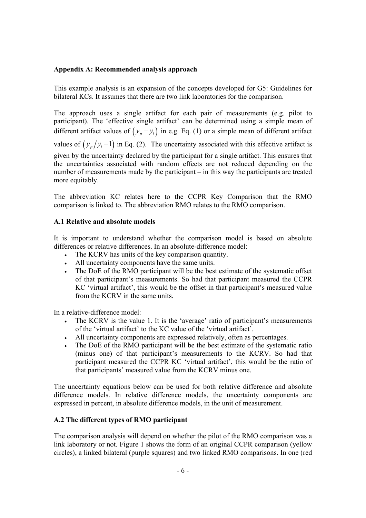### **Appendix A: Recommended analysis approach**

This example analysis is an expansion of the concepts developed for G5: Guidelines for bilateral KCs. It assumes that there are two link laboratories for the comparison.

The approach uses a single artifact for each pair of measurements (e.g. pilot to participant). The 'effective single artifact' can be determined using a simple mean of different artifact values of  $(y_n - y_i)$  in e.g. Eq. (1) or a simple mean of different artifact values of  $(y_n/y_i - 1)$  in Eq. (2). The uncertainty associated with this effective artifact is given by the uncertainty declared by the participant for a single artifact. This ensures that the uncertainties associated with random effects are not reduced depending on the number of measurements made by the participant – in this way the participants are treated more equitably.

The abbreviation KC relates here to the CCPR Key Comparison that the RMO comparison is linked to. The abbreviation RMO relates to the RMO comparison.

# **A.1 Relative and absolute models**

It is important to understand whether the comparison model is based on absolute differences or relative differences. In an absolute-difference model:

- The KCRV has units of the key comparison quantity.
- All uncertainty components have the same units.
- The DoE of the RMO participant will be the best estimate of the systematic offset of that participant's measurements. So had that participant measured the CCPR KC 'virtual artifact', this would be the offset in that participant's measured value from the KCRV in the same units.

In a relative-difference model:

- The KCRV is the value 1. It is the 'average' ratio of participant's measurements of the 'virtual artifact' to the KC value of the 'virtual artifact'.
- All uncertainty components are expressed relatively, often as percentages.
- The DoE of the RMO participant will be the best estimate of the systematic ratio (minus one) of that participant's measurements to the KCRV. So had that participant measured the CCPR KC 'virtual artifact', this would be the ratio of that participants' measured value from the KCRV minus one.

The uncertainty equations below can be used for both relative difference and absolute difference models. In relative difference models, the uncertainty components are expressed in percent, in absolute difference models, in the unit of measurement.

### **A.2 The different types of RMO participant**

The comparison analysis will depend on whether the pilot of the RMO comparison was a link laboratory or not. Figure 1 shows the form of an original CCPR comparison (yellow circles), a linked bilateral (purple squares) and two linked RMO comparisons. In one (red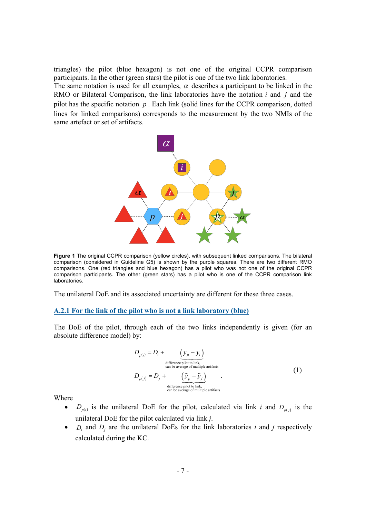triangles) the pilot (blue hexagon) is not one of the original CCPR comparison participants. In the other (green stars) the pilot is one of the two link laboratories.

The same notation is used for all examples,  $\alpha$  describes a participant to be linked in the RMO or Bilateral Comparison, the link laboratories have the notation *i* and *j* and the pilot has the specific notation *p* . Each link (solid lines for the CCPR comparison, dotted lines for linked comparisons) corresponds to the measurement by the two NMIs of the same artefact or set of artifacts.



**Figure 1** The original CCPR comparison (yellow circles), with subsequent linked comparisons. The bilateral comparison (considered in Guideline G5) is shown by the purple squares. There are two different RMO comparisons. One (red triangles and blue hexagon) has a pilot who was not one of the original CCPR comparison participants. The other (green stars) has a pilot who is one of the CCPR comparison link laboratories.

The unilateral DoE and its associated uncertainty are different for these three cases.

#### **A.2.1 For the link of the pilot who is not a link laboratory (blue)**

The DoE of the pilot, through each of the two links independently is given (for an absolute difference model) by:

$$
D_{p(i)} = D_i + \underbrace{(y_p - y_i)}_{\text{difference pilot to link,}\atop \text{can be average of multiple artifacts}}
$$
\n
$$
D_{p(j)} = D_j + \underbrace{(\tilde{y}_p - \tilde{y}_j)}_{\text{difference pilot to link,}\atop \text{can be average of multiple artifacts}}
$$
\n(1)

Where

- $D_{p(i)}$  is the unilateral DoE for the pilot, calculated via link *i* and  $D_{p(i)}$  is the unilateral DoE for the pilot calculated via link *j*.
- $D_i$  and  $D_j$  are the unilateral DoEs for the link laboratories *i* and *j* respectively calculated during the KC.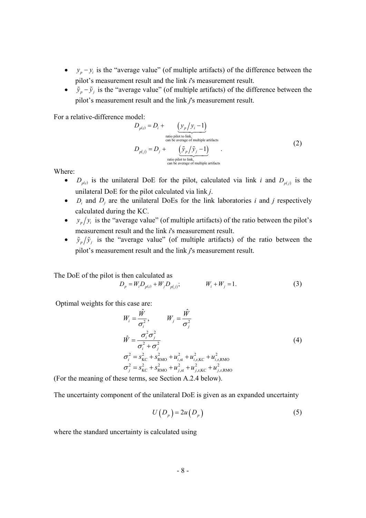- $y_p y_i$  is the "average value" (of multiple artifacts) of the difference between the pilot's measurement result and the link *i*'s measurement result.
- $\tilde{y}_p \tilde{y}_j$  is the "average value" (of multiple artifacts) of the difference between the pilot's measurement result and the link *j*'s measurement result.

For a relative-difference model:

$$
D_{p(i)} = D_i + \underbrace{(y_p/y_i - 1)}_{\text{ratio pilot to link,}} \nD_{p(j)} = D_j + \underbrace{(\tilde{y}_p/\tilde{y}_j - 1)}_{\text{ratio pilot to link,}}.
$$
\n(2)

Where:

- $D_{p(i)}$  is the unilateral DoE for the pilot, calculated via link *i* and  $D_{p(i)}$  is the unilateral DoE for the pilot calculated via link *j*.
- $D_i$  and  $D_j$  are the unilateral DoEs for the link laboratories *i* and *j* respectively calculated during the KC.
- $y_p/y_i$  is the "average value" (of multiple artifacts) of the ratio between the pilot's measurement result and the link *i*'s measurement result.
- $\tilde{y}_p/\tilde{y}_j$  is the "average value" (of multiple artifacts) of the ratio between the pilot's measurement result and the link *j*'s measurement result.

The DoE of the pilot is then calculated as

$$
D_p = W_i D_{p(i)} + W_j D_{p(j)}; \qquad W_i + W_j = 1.
$$
 (3)

Optimal weights for this case are:

$$
W_{i} = \frac{\hat{W}}{\sigma_{i}^{2}}, \qquad W_{j} = \frac{\hat{W}}{\sigma_{j}^{2}}
$$
  
\n
$$
\hat{W} = \frac{\sigma_{i}^{2} \sigma_{j}^{2}}{\sigma_{i}^{2} + \sigma_{j}^{2}}
$$
  
\n
$$
\sigma_{i}^{2} = s_{\text{KC}}^{2} + s_{\text{RMO}}^{2} + u_{i,\text{st}}^{2} + u_{i,\text{r,KC}}^{2} + u_{i,\text{r, RMO}}^{2}
$$
  
\n
$$
\sigma_{j}^{2} = s_{\text{KC}}^{2} + s_{\text{RMO}}^{2} + u_{j,\text{r, KC}}^{2} + u_{j,\text{r, RMO}}^{2}
$$
\n(4)

(For the meaning of these terms, see Section A.2.4 below).

The uncertainty component of the unilateral DoE is given as an expanded uncertainty

$$
U(D_p) = 2u(D_p) \tag{5}
$$

where the standard uncertainty is calculated using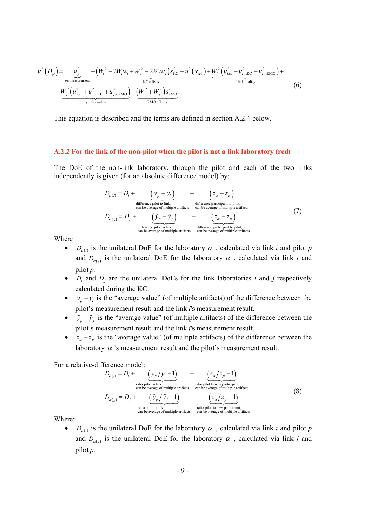$$
u^{2}(D_{p}) = u_{p \text{ s measurement}}^{2} + \underbrace{(W_{i}^{2} - 2W_{i}w_{i} + W_{j}^{2} - 2W_{j}w_{j})s_{\text{KC}}^{2} + u^{2}(x_{\text{ref}}) + \underbrace{W_{i}^{2}(u_{i,\text{st}}^{2} + u_{i,\text{r,KC}}^{2} + u_{i,\text{r, RMO}}^{2})}_{\text{KCEfects}} + \underbrace{W_{j}^{2}(u_{j,\text{st}}^{2} + u_{j,\text{r, RC}}^{2} + u_{j,\text{r, RMO}}^{2})}_{j \text{ link quality}} + \underbrace{(W_{i}^{2} + W_{j}^{2})s_{\text{RMO}}^{2}}_{\text{RMO effects}}.
$$
\n(6)

This equation is described and the terms are defined in section A.2.4 below.

#### **A.2.2 For the link of the non-pilot when the pilot is not a link laboratory (red)**

The DoE of the non-link laboratory, through the pilot and each of the two links independently is given (for an absolute difference model) by:

$$
D_{\alpha(j)} = D_i + \underbrace{\left(y_p - y_i\right)}_{\text{difference pilot to link,} \text{ of the average of multiple artifacts}} + \underbrace{\left(z_{\alpha} - z_p\right)}_{\text{difference particle articipath to pilot,} \text{ can be average of multiple artifacts}} + \underbrace{\left(z_{\alpha} - z_p\right)}_{\text{difference pilot to link,} \text{ of the entire entire path.}} \tag{7}
$$

Where

- $D_{\alpha(i)}$  is the unilateral DoE for the laboratory  $\alpha$ , calculated via link *i* and pilot *p* and  $D_{\alpha(j)}$  is the unilateral DoE for the laboratory  $\alpha$ , calculated via link *j* and pilot *p*.
- $D_i$  and  $D_j$  are the unilateral DoEs for the link laboratories *i* and *j* respectively calculated during the KC.
- $y_p y_i$  is the "average value" (of multiple artifacts) of the difference between the pilot's measurement result and the link *i*'s measurement result.
- $\tilde{y}_p \tilde{y}_j$  is the "average value" (of multiple artifacts) of the difference between the pilot's measurement result and the link *j*'s measurement result.
- $z_a z_p$  is the "average value" (of multiple artifacts) of the difference between the laboratory  $\alpha$ 's measurement result and the pilot's measurement result.

For a relative-difference model:

$$
D_{\alpha(i)} = D_i + \underbrace{(y_p/y_i - 1)}_{\text{ratio pilot to link,}} + \underbrace{(z_\alpha/z_p - 1)}_{\text{ratio pilot to new participant,}} \\ D_{\alpha(j)} = D_j + \underbrace{(\tilde{y}_p/\tilde{y}_j - 1)}_{\text{ratio pilot to link,}} + \underbrace{(z_\alpha/z_p - 1)}_{\text{ratio pilot to link,}}.
$$
 (8)

Where:

 $D_{\sigma(i)}$  is the unilateral DoE for the laboratory  $\alpha$ , calculated via link *i* and pilot *p* and  $D_{\alpha(j)}$  is the unilateral DoE for the laboratory  $\alpha$ , calculated via link *j* and pilot *p*.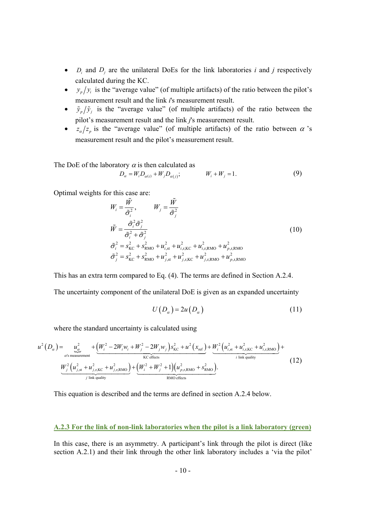- $D_i$  and  $D_j$  are the unilateral DoEs for the link laboratories *i* and *j* respectively calculated during the KC.
- $y_p/y_i$  is the "average value" (of multiple artifacts) of the ratio between the pilot's measurement result and the link *i*'s measurement result.
- $\tilde{y}_p/\tilde{y}_j$  is the "average value" (of multiple artifacts) of the ratio between the pilot's measurement result and the link *j*'s measurement result.
- $z_{\alpha}/z_{\beta}$  is the "average value" (of multiple artifacts) of the ratio between  $\alpha$  's measurement result and the pilot's measurement result.

The DoE of the laboratory  $\alpha$  is then calculated as

$$
D_{\alpha} = W_i D_{\alpha(i)} + W_j D_{\alpha(j)}; \qquad W_i + W_j = 1.
$$
 (9)

Optimal weights for this case are:

$$
W_{i} = \frac{\tilde{W}}{\tilde{\sigma}_{i}^{2}}, \qquad W_{j} = \frac{\tilde{W}}{\tilde{\sigma}_{j}^{2}}
$$
  
\n
$$
\tilde{W} = \frac{\tilde{\sigma}_{i}^{2} \tilde{\sigma}_{j}^{2}}{\tilde{\sigma}_{i}^{2} + \tilde{\sigma}_{j}^{2}}
$$
  
\n
$$
\tilde{\sigma}_{i}^{2} = s_{\text{KC}}^{2} + s_{\text{RMO}}^{2} + u_{i,\text{st}}^{2} + u_{i,\text{r,KC}}^{2} + u_{i,\text{r, RMO}}^{2} + u_{p,\text{r, RMO}}^{2}
$$
\n
$$
\tilde{\sigma}_{j}^{2} = s_{\text{KC}}^{2} + s_{\text{RMO}}^{2} + u_{j,\text{r, KC}}^{2} + u_{j,\text{r, RMO}}^{2} + u_{p,\text{r, RMO}}^{2}
$$
\n(10)

This has an extra term compared to Eq. (4). The terms are defined in Section A.2.4.

The uncertainty component of the unilateral DoE is given as an expanded uncertainty

$$
U(D_{\alpha}) = 2u(D_{\alpha})
$$
\n(11)

where the standard uncertainty is calculated using

$$
u^{2}(D_{\alpha}) = \underbrace{u_{\alpha}^{2}}_{\alpha's\text{ measurement}} + \underbrace{(W_{i}^{2} - 2W_{i}w_{i} + W_{j}^{2} - 2W_{j}w_{j})s_{\text{KC}}^{2} + u^{2}(x_{\text{ref}}) + \underbrace{W_{i}^{2}(u_{i,\text{st}}^{2} + u_{i,\text{r,KC}}^{2} + u_{i,\text{r,RMO}}^{2})}_{\text{KCEfects}} + \underbrace{W_{j}^{2}(u_{j,\text{st}}^{2} + u_{j,\text{r,RMO}}^{2})}_{j\text{ link quality}} + \underbrace{(12)}_{j\text{ link quality}}
$$

This equation is described and the terms are defined in section A.2.4 below.

#### **A.2.3 For the link of non-link laboratories when the pilot is a link laboratory (green)**

In this case, there is an asymmetry. A participant's link through the pilot is direct (like section A.2.1) and their link through the other link laboratory includes a 'via the pilot'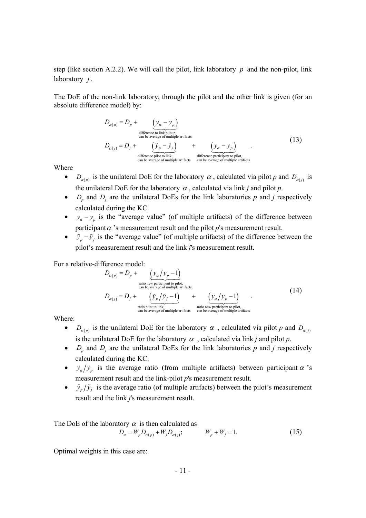step (like section A.2.2). We will call the pilot, link laboratory *p* and the non-pilot, link laboratory *j* .

The DoE of the non-link laboratory, through the pilot and the other link is given (for an absolute difference model) by:

$$
D_{\alpha(p)} = D_p + \underbrace{\left(y_{\alpha} - y_p\right)}_{\text{difference to link pilot p}}
$$
  
\n
$$
D_{\alpha(j)} = D_j + \underbrace{\left(\tilde{y}_p - \tilde{y}_j\right)}_{\text{difference pilot to link,} \atop \text{can be average of multiple artifacts}} + \underbrace{\left(y_{\alpha} - y_p\right)}_{\text{difference public } \atop \text{can be average of multiple artifacts}}.
$$
\n(13)

Where

- $D_{\sigma(n)}$  is the unilateral DoE for the laboratory  $\alpha$ , calculated via pilot *p* and  $D_{\sigma(n)}$  is the unilateral DoE for the laboratory  $\alpha$ , calculated via link *j* and pilot *p*.
- $D_p$  and  $D_i$  are the unilateral DoEs for the link laboratories  $p$  and  $j$  respectively calculated during the KC.
- $y_a y_b$  is the "average value" (of multiple artifacts) of the difference between participant  $\alpha$  's measurement result and the pilot  $p$ 's measurement result.
- $\tilde{y}_p \tilde{y}_j$  is the "average value" (of multiple artifacts) of the difference between the pilot's measurement result and the link *j*'s measurement result.

For a relative-difference model:

$$
D_{\alpha(p)} = D_p + \underbrace{(y_{\alpha}/y_p - 1)}_{\text{ratio new participant to pilot,}} \nD_{\alpha(j)} = D_j + \underbrace{(\tilde{y}_p/\tilde{y}_j - 1)}_{\text{ratio pilot to link,}} + \underbrace{(y_{\alpha}/y_p - 1)}_{\text{ratio network}}.
$$
\n(14)

Where:

- $D_{\alpha(n)}$  is the unilateral DoE for the laboratory  $\alpha$ , calculated via pilot *p* and  $D_{\alpha(n)}$ is the unilateral DoE for the laboratory  $\alpha$ , calculated via link *j* and pilot *p*.
- $D_p$  and  $D_j$  are the unilateral DoEs for the link laboratories  $p$  and  $j$  respectively calculated during the KC.
- $y_{\alpha}/y_{p}$  is the average ratio (from multiple artifacts) between participant  $\alpha$  's measurement result and the link-pilot *p*'s measurement result.
- $\tilde{y}_p/\tilde{y}_j$  is the average ratio (of multiple artifacts) between the pilot's measurement result and the link *j*'s measurement result.

The DoE of the laboratory  $\alpha$  is then calculated as

$$
D_{\alpha} = W_p D_{\alpha(p)} + W_j D_{\alpha(j)}; \qquad W_p + W_j = 1.
$$
 (15)

Optimal weights in this case are: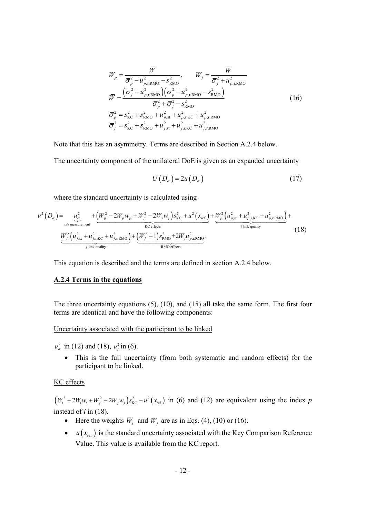$$
W_{p} = \frac{\overline{W}}{\overline{\sigma}_{p}^{2} - u_{p,r,RMO}^{2} - s_{RMO}^{2}}, \qquad W_{j} = \frac{\overline{W}}{\overline{\sigma}_{j}^{2} + u_{p,r,RMO}^{2}} \n\overline{W} = \frac{(\overline{\sigma}_{j}^{2} + u_{p,r,RMO}^{2})(\overline{\sigma}_{p}^{2} - u_{p,r,RMO}^{2} - s_{RMO}^{2})}{\overline{\sigma}_{p}^{2} + \overline{\sigma}_{j}^{2} - s_{RMO}^{2}} \n\overline{\sigma}_{p}^{2} = s_{\text{KC}}^{2} + s_{RMO}^{2} + u_{p,r,RLO}^{2} + u_{p,r,RMO}^{2} \n\overline{\sigma}_{j}^{2} = s_{\text{KC}}^{2} + s_{RMO}^{2} + u_{j,r,RLO}^{2} + u_{j,r,RMO}^{2}
$$
\n(16)

Note that this has an asymmetry. Terms are described in Section A.2.4 below.

The uncertainty component of the unilateral DoE is given as an expanded uncertainty

$$
U(D_{\alpha}) = 2u(D_{\alpha})\tag{17}
$$

where the standard uncertainty is calculated using

$$
u^{2}(D_{\alpha}) = \underbrace{u_{\alpha}^{2}}_{\alpha's \text{ measurement}} + \underbrace{(W_{p}^{2} - 2W_{p}w_{p} + W_{j}^{2} - 2W_{j}w_{j})s_{\text{KC}}^{2}}_{\text{KC effects}} + u^{2}(x_{\text{ref}}) + \underbrace{W_{p}^{2}(u_{p,\text{st}}^{2} + u_{p,\text{r,KLO}}^{2} + u_{p,\text{r,RMO}}^{2})}_{\text{i link quality}} + \underbrace{(18)}_{\text{j link quality}}
$$

This equation is described and the terms are defined in section A.2.4 below.

#### **A.2.4 Terms in the equations**

The three uncertainty equations (5), (10), and (15) all take the same form. The first four terms are identical and have the following components:

#### Uncertainty associated with the participant to be linked

 $u_{\alpha}^{2}$  in (12) and (18),  $u_{p}^{2}$  in (6).

 This is the full uncertainty (from both systematic and random effects) for the participant to be linked.

# KC effects

 $(W_i^2 - 2W_iw_i + W_j^2 - 2W_jw_j)s_{\text{KC}}^2 + u^2(x_{\text{ref}})$  in (6) and (12) are equivalent using the index *p* instead of *i* in (18).

- Here the weights  $W_i$  and  $W_j$  are as in Eqs. (4), (10) or (16).
- $u(x_{ref})$  is the standard uncertainty associated with the Key Comparison Reference Value. This value is available from the KC report.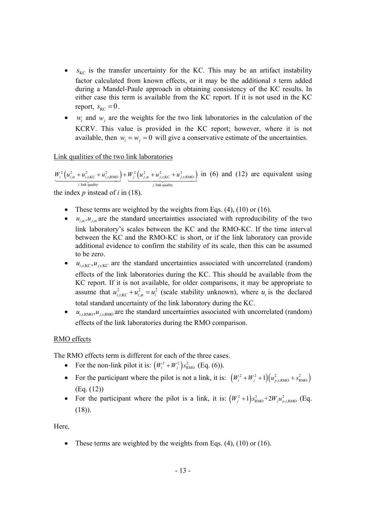- $s_{\text{KC}}$  is the transfer uncertainty for the KC. This may be an artifact instability factor calculated from known effects, or it may be the additional *s* term added during a Mandel-Paule approach in obtaining consistency of the KC results. In either case this term is available from the KC report. If it is not used in the KC report,  $s_{\text{KC}} = 0$ .
- $w_i$  and  $w_j$  are the weights for the two link laboratories in the calculation of the KCRV. This value is provided in the KC report; however, where it is not available, then  $w_i = w_j = 0$  will give a conservative estimate of the uncertainties.

# Link qualities of the two link laboratories

 $2\left(u_{i,\text{st}}^2+u_{i,\text{r,KC}}^2+u_{i,\text{r,RMO}}^2\right)+W_j^2\left(u_{j,\text{st}}^2+u_{j,\text{r,KC}}^2+u_{j,\text{r,RMO}}^2\right)$ link quality  $j$  link quality *i*  $\left\{ \begin{array}{c} u_{i,\text{st}} + u_{i,\text{r},\text{KC}} + u_{i,\text{r},\text{RMO}} \end{array} \right\}$   $\left\{ \begin{array}{c} u_{j,\text{st}} + u_{j,\text{r},\text{KC}} + u_j \end{array} \right\}$  $W_i^2 (u_{i,\text{st}}^2 + u_{i,\text{r,KC}}^2 + u_{i,\text{r,RMO}}^2) + W_j^2 (u_{i,\text{st}}^2 + u_{i,\text{r,RC}}^2 + u_{i,\text{r,RMO}}^2)$  in (6) and (12) are equivalent using *i* link quality

the index *p* instead of *i* in (18).

- These terms are weighted by the weights from Eqs.  $(4)$ ,  $(10)$  or  $(16)$ .
- $\bullet$   $u_{i,st}, u_{i,st}$  are the standard uncertainties associated with reproducibility of the two link laboratory's scales between the KC and the RMO-KC. If the time interval between the KC and the RMO-KC is short, or if the link laboratory can provide additional evidence to confirm the stability of its scale, then this can be assumed to be zero.
- $\bullet$  *u<sub>i,KC</sub>*, *u<sub>j</sub><sub>KC</sub>* are the standard uncertainties associated with uncorrelated (random) effects of the link laboratories during the KC. This should be available from the KC report. If it is not available, for older comparisons, it may be appropriate to assume that  $u_{i,r,KC}^2 + u_{i,s}^2 = u_i^2$  (scale stability unknown), where  $u_i$  is the declared total standard uncertainty of the link laboratory during the KC.
- $\bullet$   $u_{i,r,RMO}, u_{i,r,RMO}$  are the standard uncertainties associated with uncorrelated (random) effects of the link laboratories during the RMO comparison.

# RMO effects

The RMO effects term is different for each of the three cases.

- For the non-link pilot it is:  $(W_i^2 + W_i^2) s_{\text{RMO}}^2$  (Eq. (6)).
- For the participant where the pilot is not a link, it is:  $(W_i^2 + W_j^2 + 1)(u_{p,r,RMO}^2 + s_{RMO}^2)$ (Eq. (12))
- For the participant where the pilot is a link, it is:  $(W_j^2 + 1) s_{\text{RMO}}^2 + 2W_j u_{p,\text{RMO}}^2$  (Eq. (18)).

Here,

• These terms are weighted by the weights from Eqs.  $(4)$ ,  $(10)$  or  $(16)$ .